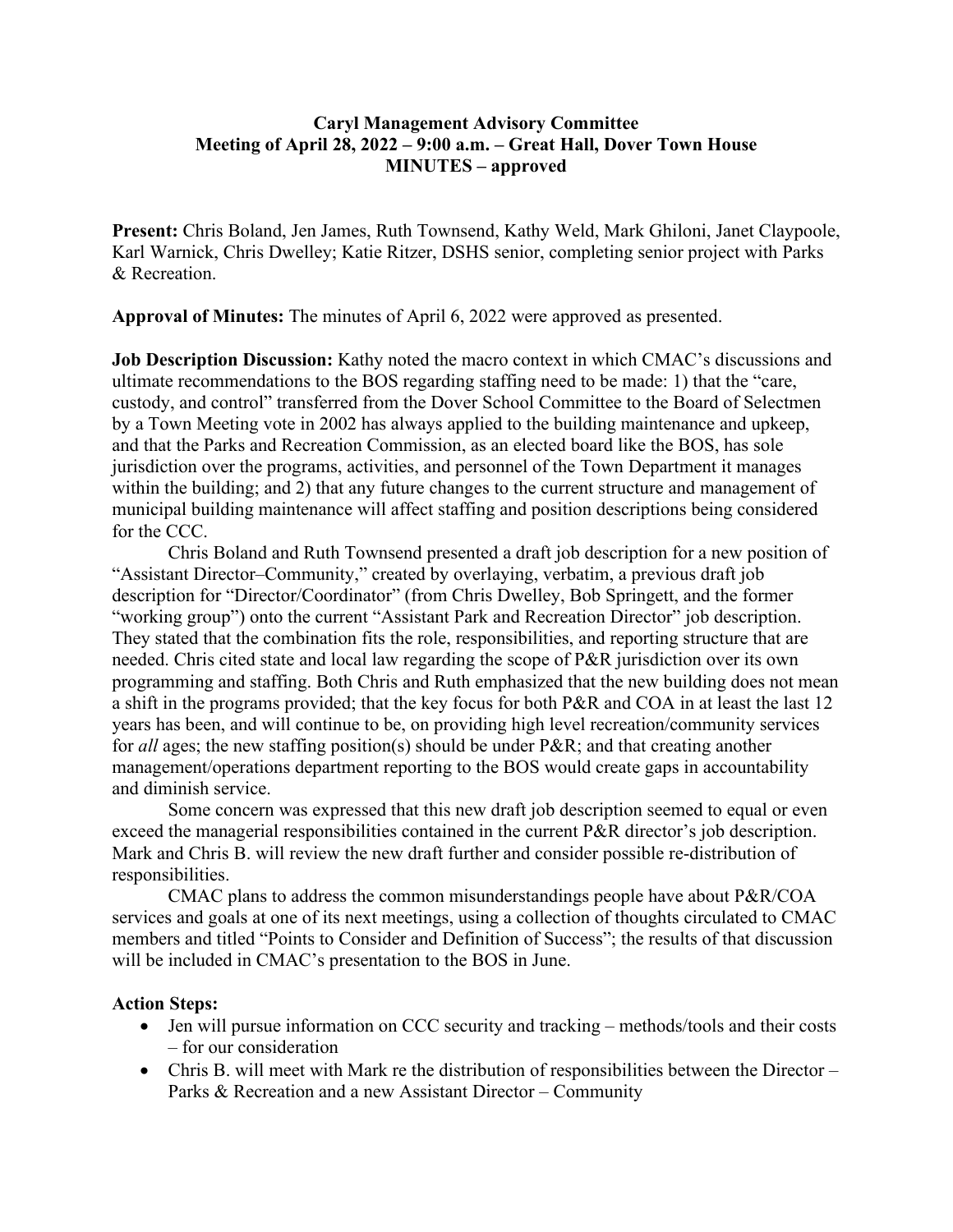## **Caryl Management Advisory Committee Meeting of April 28, 2022 – 9:00 a.m. – Great Hall, Dover Town House MINUTES – approved**

**Present:** Chris Boland, Jen James, Ruth Townsend, Kathy Weld, Mark Ghiloni, Janet Claypoole, Karl Warnick, Chris Dwelley; Katie Ritzer, DSHS senior, completing senior project with Parks & Recreation.

**Approval of Minutes:** The minutes of April 6, 2022 were approved as presented.

**Job Description Discussion:** Kathy noted the macro context in which CMAC's discussions and ultimate recommendations to the BOS regarding staffing need to be made: 1) that the "care, custody, and control" transferred from the Dover School Committee to the Board of Selectmen by a Town Meeting vote in 2002 has always applied to the building maintenance and upkeep, and that the Parks and Recreation Commission, as an elected board like the BOS, has sole jurisdiction over the programs, activities, and personnel of the Town Department it manages within the building; and 2) that any future changes to the current structure and management of municipal building maintenance will affect staffing and position descriptions being considered for the CCC.

Chris Boland and Ruth Townsend presented a draft job description for a new position of "Assistant Director–Community," created by overlaying, verbatim, a previous draft job description for "Director/Coordinator" (from Chris Dwelley, Bob Springett, and the former "working group") onto the current "Assistant Park and Recreation Director" job description. They stated that the combination fits the role, responsibilities, and reporting structure that are needed. Chris cited state and local law regarding the scope of P&R jurisdiction over its own programming and staffing. Both Chris and Ruth emphasized that the new building does not mean a shift in the programs provided; that the key focus for both P&R and COA in at least the last 12 years has been, and will continue to be, on providing high level recreation/community services for *all* ages; the new staffing position(s) should be under P&R; and that creating another management/operations department reporting to the BOS would create gaps in accountability and diminish service.

Some concern was expressed that this new draft job description seemed to equal or even exceed the managerial responsibilities contained in the current P&R director's job description. Mark and Chris B. will review the new draft further and consider possible re-distribution of responsibilities.

CMAC plans to address the common misunderstandings people have about P&R/COA services and goals at one of its next meetings, using a collection of thoughts circulated to CMAC members and titled "Points to Consider and Definition of Success"; the results of that discussion will be included in CMAC's presentation to the BOS in June.

## **Action Steps:**

- Jen will pursue information on CCC security and tracking methods/tools and their costs – for our consideration
- Chris B. will meet with Mark re the distribution of responsibilities between the Director Parks & Recreation and a new Assistant Director – Community